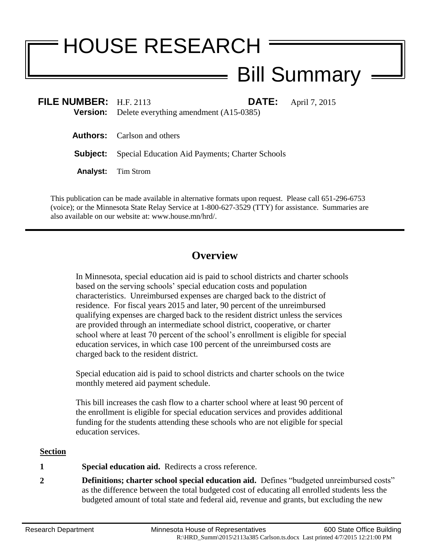# HOUSE RESEARCH

# Bill Summary

| FILE NUMBER: $H.F. 2113$ | <b>Version:</b> Delete everything amendment (A15-0385)          | <b>DATE:</b> April 7, 2015 |
|--------------------------|-----------------------------------------------------------------|----------------------------|
|                          | <b>Authors:</b> Carlson and others                              |                            |
|                          | <b>Subject:</b> Special Education Aid Payments; Charter Schools |                            |
|                          | <b>Analyst:</b> Tim Strom                                       |                            |
|                          |                                                                 |                            |

This publication can be made available in alternative formats upon request. Please call 651-296-6753 (voice); or the Minnesota State Relay Service at 1-800-627-3529 (TTY) for assistance. Summaries are also available on our website at: www.house.mn/hrd/.

## **Overview**

In Minnesota, special education aid is paid to school districts and charter schools based on the serving schools' special education costs and population characteristics. Unreimbursed expenses are charged back to the district of residence. For fiscal years 2015 and later, 90 percent of the unreimbursed qualifying expenses are charged back to the resident district unless the services are provided through an intermediate school district, cooperative, or charter school where at least 70 percent of the school's enrollment is eligible for special education services, in which case 100 percent of the unreimbursed costs are charged back to the resident district.

Special education aid is paid to school districts and charter schools on the twice monthly metered aid payment schedule.

This bill increases the cash flow to a charter school where at least 90 percent of the enrollment is eligible for special education services and provides additional funding for the students attending these schools who are not eligible for special education services.

### **Section**

- **1 Special education aid.** Redirects a cross reference.
- **2 Definitions; charter school special education aid.** Defines "budgeted unreimbursed costs" as the difference between the total budgeted cost of educating all enrolled students less the budgeted amount of total state and federal aid, revenue and grants, but excluding the new